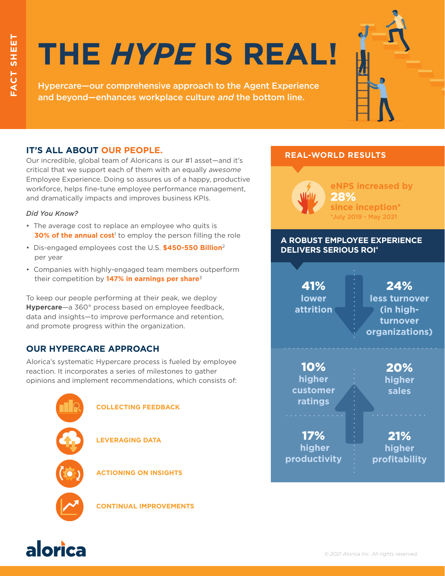# **THE** *HYPE* **IS REAL!**

Hypercare—our comprehensive approach to the Agent Experience and beyond—enhances workplace culture *and* the bottom line.



Our incredible, global team of Aloricans is our #1 asset—and it's critical that we support each of them with an equally *awesome* Employee Experience. Doing so assures us of a happy, productive workforce, helps fine-tune employee performance management, and dramatically impacts and improves business KPIs.

## *Did You Know?*

- The average cost to replace an employee who quits is **30% of the annual cost**<sup>1</sup> to employ the person filling the role
- Dis-engaged employees cost the U.S. **\$450-550 Billion**<sup>2</sup> per year
- Companies with highly-engaged team members outperform their competition by **147% in earnings per share**<sup>3</sup>

To keep our people performing at their peak, we deploy **Hypercare**—a 360° process based on employee feedback, data and insights—to improve performance and retention, and promote progress within the organization.

# **OUR HYPERCARE APPROACH**

Alorica's systematic Hypercare process is fueled by employee reaction. It incorporates a series of milestones to gather opinions and implement recommendations, which consists of:



# **REAL-WORLD RESULTS**



# **A ROBUST EMPLOYEE EXPERIENCE DELIVERS SERIOUS ROI4**

41% **lower attrition**

24% **less turnover (in highturnover organizations)**

10% **higher customer ratings**

17% **higher productivity** **higher sales**

20%

21% **higher profitability**

**CONTINUAL IMPROVEMENTS**

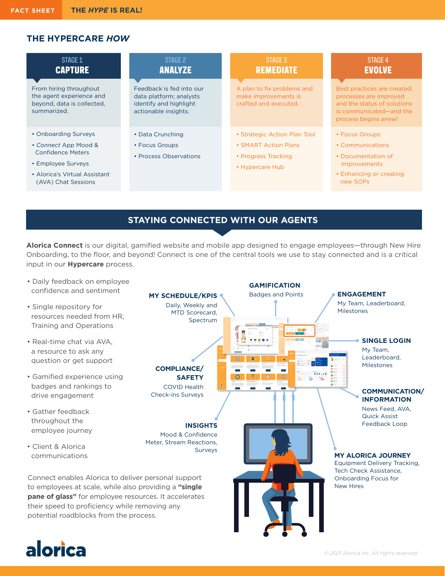# **THE HYPERCARE** *HOW*

| STAGE 1<br><b>CAPTURE</b>                                                                       | STAGE 2<br><b>ANALYZE</b>                                                                             | STAGE 3<br><b>REMEDIATE</b>                                                 | <b>STAGE 4</b><br><b>EVOLVE</b>                                                                                                         |
|-------------------------------------------------------------------------------------------------|-------------------------------------------------------------------------------------------------------|-----------------------------------------------------------------------------|-----------------------------------------------------------------------------------------------------------------------------------------|
| From hiring throughout<br>the agent experience and<br>beyond, data is collected,<br>summarized. | Feedback is fed into our<br>data platform; analysts<br>identify and highlight<br>actionable insights. | A plan to fix problems and<br>make improvements is<br>crafted and executed. | Best practices are created,<br>processes are improved<br>and the status of solutions<br>is communicated—and the<br>process begins anew! |
| • Onboarding Surveys                                                                            | • Data Crunching                                                                                      | • Strategic Action Plan Tool                                                | • Focus Groups                                                                                                                          |
|                                                                                                 |                                                                                                       |                                                                             |                                                                                                                                         |
| • Connect App Mood &<br><b>Confidence Meters</b>                                                | • Focus Groups                                                                                        | • SMART Action Plans                                                        | • Communications                                                                                                                        |
|                                                                                                 | • Process Observations                                                                                | • Progress Tracking                                                         | • Documentation of                                                                                                                      |
| • Employee Surveys                                                                              |                                                                                                       | • Hypercare Hub                                                             | Improvements                                                                                                                            |
| • Alorica's Virtual Assistant<br>(AVA) Chat Sessions                                            |                                                                                                       |                                                                             | • Enhancing or creating<br>new SOPs                                                                                                     |

# **STAYING CONNECTED WITH OUR AGENTS**

**Alorica Connect** is our digital, gamified website and mobile app designed to engage employees—through New Hire Onboarding, to the floor, and beyond! Connect is one of the central tools we use to stay connected and is a critical input in our **Hypercare** process.



# alorica